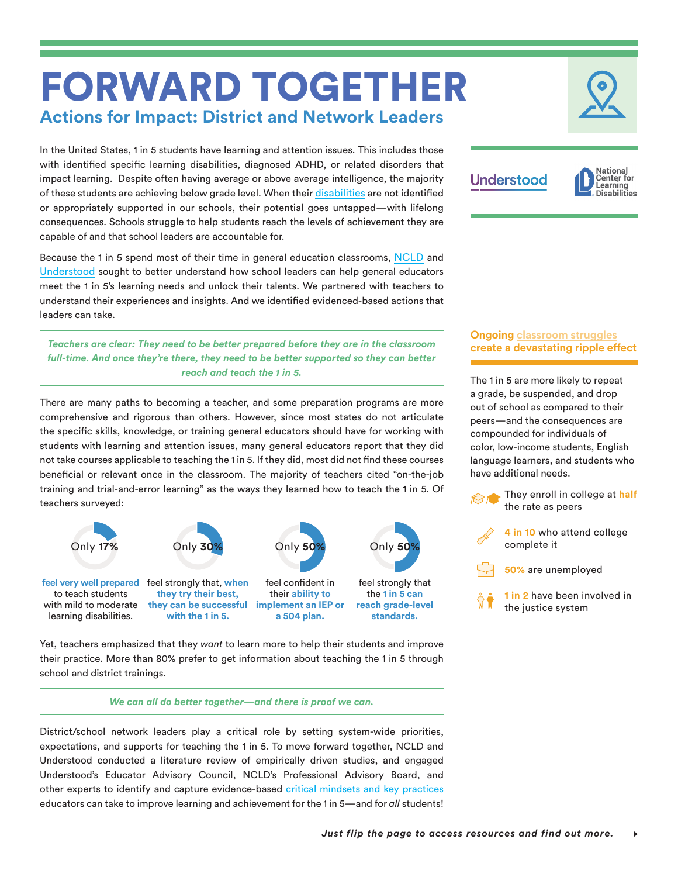# FORWARD TOGETHER **Actions for Impact: District and Network Leaders**

In the United States, 1 in 5 students have learning and attention issues. This includes those with identified specific learning disabilities, diagnosed ADHD, or related disorders that impact learning. Despite often having average or above average intelligence, the majority of these students are achieving below grade level. When their [disabilities](https://www.ncld.org/identifying-struggling-students) are not identified or appropriately supported in our schools, their potential goes untapped—with lifelong consequences. Schools struggle to help students reach the levels of achievement they are capable of and that school leaders are accountable for.

Because the 1 in 5 spend most of their time in general education classrooms, [NCLD](http://ncld.org/) and [Understood](https://www.understood.org/en) sought to better understand how school leaders can help general educators meet the 1 in 5's learning needs and unlock their talents. We partnered with teachers to understand their experiences and insights. And we identified evidenced-based actions that leaders can take.

*Teachers are clear: They need to be better prepared before they are in the classroom full-time. And once they're there, they need to be better supported so they can better reach and teach the 1 in 5.*

There are many paths to becoming a teacher, and some preparation programs are more comprehensive and rigorous than others. However, since most states do not articulate the specific skills, knowledge, or training general educators should have for working with students with learning and attention issues, many general educators report that they did not take courses applicable to teaching the 1 in 5. If they did, most did not find these courses beneficial or relevant once in the classroom. The majority of teachers cited "on-the-job training and trial-and-error learning" as the ways they learned how to teach the 1 in 5. Of teachers surveyed:



Yet, teachers emphasized that they *want* to learn more to help their students and improve their practice. More than 80% prefer to get information about teaching the 1 in 5 through school and district trainings.

*We can all do better together—and there is proof we can.*

District/school network leaders play a critical role by setting system-wide priorities, expectations, and supports for teaching the 1 in 5. To move forward together, NCLD and Understood conducted a literature review of empirically driven studies, and engaged Understood's Educator Advisory Council, NCLD's Professional Advisory Board, and other experts to identify and capture evidence-based [critical mindsets and key practices](http://www.ncld.org/forwardtogetherkeyfindings)  educators can take to improve learning and achievement for the 1 in 5—and for *all* students!





## **Ongoing [classroom struggles](https://www.ncld.org/supporting-academic-success) create a devastating ripple effect**

The 1 in 5 are more likely to repeat a grade, be suspended, and drop out of school as compared to their peers—and the consequences are compounded for individuals of color, low-income students, English language learners, and students who have additional needs.

> They enroll in college at **half** the rate as peers





**1 in 2** have been involved in the justice system